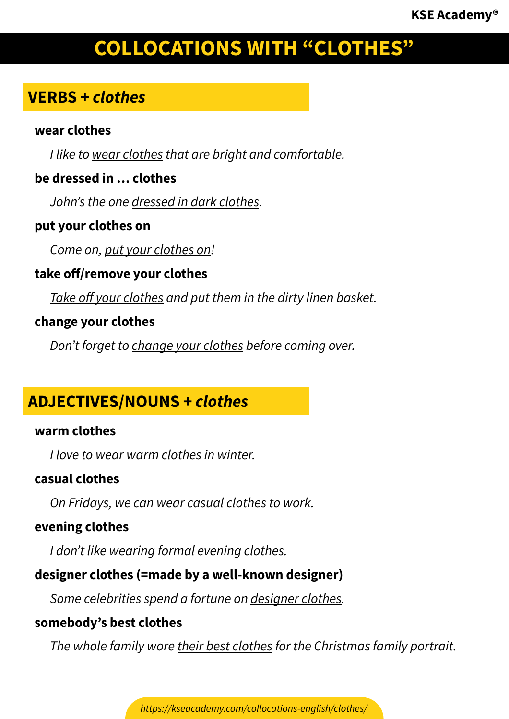# **COLLOCATIONS WITH "CLOTHES"**

# **VERBS +** *clothes*

#### **wear clothes**

*I like to wear clothes that are bright and comfortable.*

#### **be dressed in … clothes**

*John's the one dressed in dark clothes.*

#### **put your clothes on**

*Come on, put your clothes on!*

#### **take off/remove your clothes**

*Take off your clothes and put them in the dirty linen basket.*

#### **change your clothes**

*Don't forget to change your clothes before coming over.*

# **ADJECTIVES/NOUNS +** *clothes*

#### **warm clothes**

*I love to wear warm clothes in winter.*

#### **casual clothes**

*On Fridays, we can wear casual clothes to work.*

#### **evening clothes**

*I don't like wearing formal evening clothes.*

## **designer clothes (=made by a well-known designer)**

*Some celebrities spend a fortune on designer clothes.*

#### **somebody's best clothes**

*The whole family wore their best clothes for the Christmas family portrait.*

*https://kseacademy.com/collocations-english/clothes/*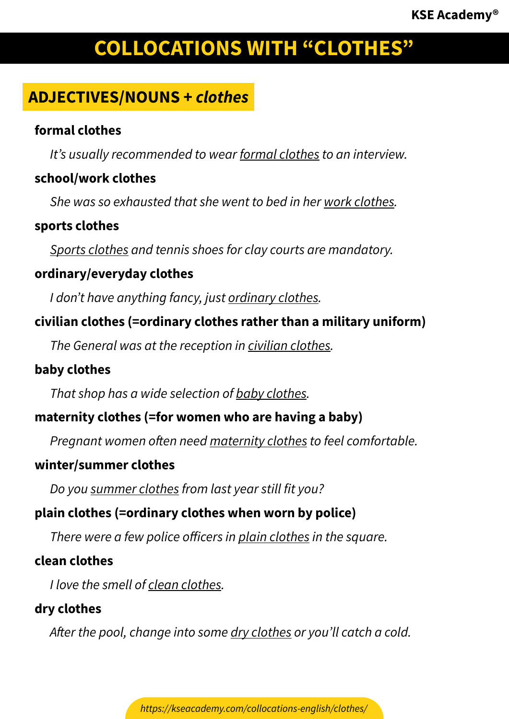# **COLLOCATIONS WITH "CLOTHES"**

# **ADJECTIVES/NOUNS +** *clothes*

#### **formal clothes**

*It's usually recommended to wear formal clothes to an interview.*

#### **school/work clothes**

*She was so exhausted that she went to bed in her work clothes.*

#### **sports clothes**

*Sports clothes and tennis shoes for clay courts are mandatory.*

#### **ordinary/everyday clothes**

*I don't have anything fancy, just ordinary clothes.*

#### **civilian clothes (=ordinary clothes rather than a military uniform)**

*The General was at the reception in civilian clothes.*

#### **baby clothes**

*That shop has a wide selection of baby clothes.*

## **maternity clothes (=for women who are having a baby)**

*Pregnant women often need maternity clothes to feel comfortable.*

#### **winter/summer clothes**

*Do you summer clothes from last year still fit you?*

## **plain clothes (=ordinary clothes when worn by police)**

*There were a few police officers in plain clothes in the square.*

#### **clean clothes**

*I love the smell of clean clothes.*

## **dry clothes**

*After the pool, change into some dry clothes or you'll catch a cold.*

*https://kseacademy.com/collocations-english/clothes/*